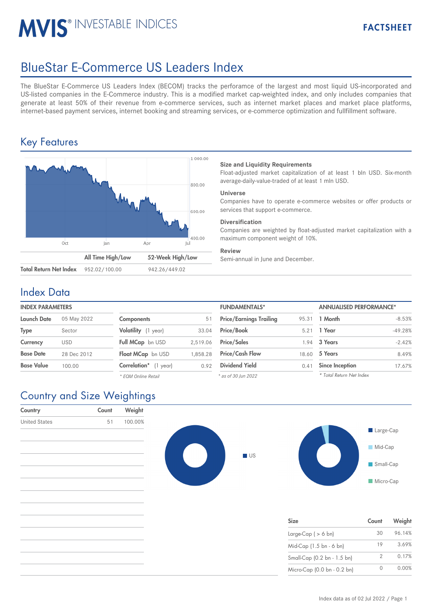# **MVIS® INVESTABLE INDICES**

# BlueStar E-Commerce US Leaders Index

The BlueStar E-Commerce US Leaders Index (BECOM) tracks the perforamce of the largest and most liquid US-incorporated and US-listed companies in the E-Commerce industry. This is a modified market cap-weighted index, and only includes companies that generate at least 50% of their revenue from e-commerce services, such as internet market places and market place platforms, internet-based payment services, internet booking and streaming services, or e-commerce optimization and fullfillment software.

## Key Features



#### **Size and Liquidity Requirements**

Float-adjusted market capitalization of at least 1 bln USD. Six-month average-daily-value-traded of at least 1 mln USD.

#### **Universe**

Companies have to operate e-commerce websites or offer products or services that support e-commerce.

#### **Diversification**

Companies are weighted by float-adjusted market capitalization with a maximum component weight of 10%.

#### **Review**

Semi-annual in June and December.

### Index Data

#### **INDEX PARAMETERS**

| Launch Date       | 05 May 2022 | <b>Components</b>        | 51       | <b>Price/Earnings Trailing</b> | 95.31 | 1 Month                |
|-------------------|-------------|--------------------------|----------|--------------------------------|-------|------------------------|
| <b>Type</b>       | Sector      | Volatility (1 year)      | 33.04    | <b>Price/Book</b>              | 5.21  | 1 Year                 |
| Currency          | <b>USD</b>  | Full MCap bn USD         | 2.519.06 | <b>Price/Sales</b>             | 1.94  | 3 Years                |
| <b>Base Date</b>  | 28 Dec 2012 | Float MCap bn USD        | 1.858.28 | <b>Price/Cash Flow</b>         | 18.60 | 5 Years                |
| <b>Base Value</b> | 100.00      | Correlation*<br>(1 year) | 0.92     | <b>Dividend Yield</b>          | 0.41  | <b>Since Inception</b> |
|                   |             | * EQM Online Retail      |          | * as of 30 lun 2022            |       | * Total Return Net     |

| <b>FUNDAMENTALS*</b>           |       | <b>ANNUALISED PERFORMANCE*</b> |           |  |
|--------------------------------|-------|--------------------------------|-----------|--|
| <b>Price/Earnings Trailing</b> | 95.31 | 1 Month                        | $-8.53%$  |  |
| Price/Book                     | 5.21  | 1 Year                         | $-49.28%$ |  |
| <b>Price/Sales</b>             | 1.94  | 3 Years                        | $-2.42%$  |  |
| <b>Price/Cash Flow</b>         | 18.60 | 5 Years                        | 8.49%     |  |
| <b>Dividend Yield</b>          | 0.41  | <b>Since Inception</b>         | 17.67%    |  |
| * as of 30 Jun 2022            |       | * Total Return Net Index       |           |  |

## Country and Size Weightings

| $\mathbf{r}$         |       | $\checkmark$ | <b>DESERVE</b> |           |                             |             |        |
|----------------------|-------|--------------|----------------|-----------|-----------------------------|-------------|--------|
| Country              | Count | Weight       |                |           |                             |             |        |
| <b>United States</b> | 51    | 100.00%      |                |           |                             | Large-Cap   |        |
|                      |       |              |                |           |                             | Mid-Cap     |        |
|                      |       |              |                | <b>US</b> |                             | Small-Cap   |        |
|                      |       |              |                |           |                             | Micro-Cap   |        |
|                      |       |              |                |           |                             |             |        |
|                      |       |              |                |           | Size                        | Count       | Weight |
|                      |       |              |                |           | Large-Cap $($ > 6 bn)       | 30          | 96.14% |
|                      |       |              |                |           | Mid-Cap (1.5 bn - 6 bn)     | 19          | 3.69%  |
|                      |       |              |                |           | Small-Cap (0.2 bn - 1.5 bn) | 2           | 0.17%  |
|                      |       |              |                |           | Micro-Cap (0.0 bn - 0.2 bn) | $\mathbf 0$ | 0.00%  |